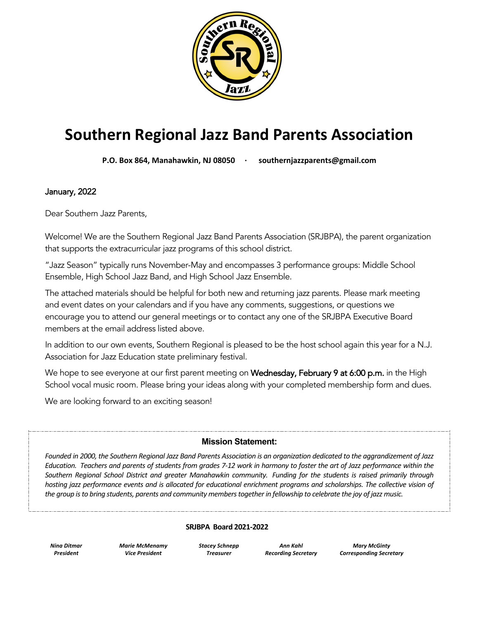

# **Southern Regional Jazz Band Parents Association**

**P.O. Box 864, Manahawkin, NJ 08050 · southernjazzparents@gmail.com**

January, 2022

Dear Southern Jazz Parents,

Welcome! We are the Southern Regional Jazz Band Parents Association (SRJBPA), the parent organization that supports the extracurricular jazz programs of this school district.

"Jazz Season" typically runs November-May and encompasses 3 performance groups: Middle School Ensemble, High School Jazz Band, and High School Jazz Ensemble.

The attached materials should be helpful for both new and returning jazz parents. Please mark meeting and event dates on your calendars and if you have any comments, suggestions, or questions we encourage you to attend our general meetings or to contact any one of the SRJBPA Executive Board members at the email address listed above.

In addition to our own events, Southern Regional is pleased to be the host school again this year for a N.J. Association for Jazz Education state preliminary festival.

We hope to see everyone at our first parent meeting on Wednesday, February 9 at 6:00 p.m. in the High School vocal music room. Please bring your ideas along with your completed membership form and dues.

We are looking forward to an exciting season!

#### **Mission Statement:**

*Founded in 2000, the Southern Regional Jazz Band Parents Association is an organization dedicated to the aggrandizement of Jazz Education. Teachers and parents of students from grades 7-12 work in harmony to foster the art of Jazz performance within the Southern Regional School District and greater Manahawkin community. Funding for the students is raised primarily through*  hosting jazz performance events and is allocated for educational enrichment programs and scholarships. The collective vision of *the group is to bring students, parents and community members together in fellowship to celebrate the joy of jazz music.*

#### **SRJBPA Board 2021-2022**

*Nina Ditmar President*

*Marie McMenamy Vice President*

*Stacey Schnepp Treasurer*

*Ann Kahl Recording Secretary*

*Mary McGinty Corresponding Secretary*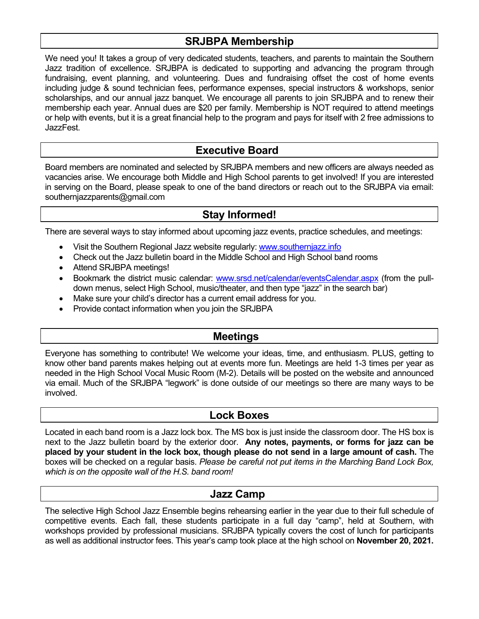# **SRJBPA Membership**

We need you! It takes a group of very dedicated students, teachers, and parents to maintain the Southern Jazz tradition of excellence. SRJBPA is dedicated to supporting and advancing the program through fundraising, event planning, and volunteering. Dues and fundraising offset the cost of home events including judge & sound technician fees, performance expenses, special instructors & workshops, senior scholarships, and our annual jazz banquet. We encourage all parents to join SRJBPA and to renew their membership each year. Annual dues are \$20 per family. Membership is NOT required to attend meetings or help with events, but it is a great financial help to the program and pays for itself with 2 free admissions to JazzFest.

### **Executive Board**

Board members are nominated and selected by SRJBPA members and new officers are always needed as vacancies arise. We encourage both Middle and High School parents to get involved! If you are interested in serving on the Board, please speak to one of the band directors or reach out to the SRJBPA via email: southernjazzparents@gmail.com

## **Stay Informed!**

There are several ways to stay informed about upcoming jazz events, practice schedules, and meetings:

- Visit the Southern Regional Jazz website regularly: www.southernjazz.info
- Check out the Jazz bulletin board in the Middle School and High School band rooms
- Attend SRJBPA meetings!
- Bookmark the district music calendar: www.srsd.net/calendar/eventsCalendar.aspx (from the pulldown menus, select High School, music/theater, and then type "jazz" in the search bar)
- Make sure your child's director has a current email address for you.
- Provide contact information when you join the SRJBPA

# **Meetings**

Everyone has something to contribute! We welcome your ideas, time, and enthusiasm. PLUS, getting to know other band parents makes helping out at events more fun. Meetings are held 1-3 times per year as needed in the High School Vocal Music Room (M-2). Details will be posted on the website and announced via email. Much of the SRJBPA "legwork" is done outside of our meetings so there are many ways to be involved.

#### **Lock Boxes**

Located in each band room is a Jazz lock box. The MS box is just inside the classroom door. The HS box is next to the Jazz bulletin board by the exterior door. **Any notes, payments, or forms for jazz can be placed by your student in the lock box, though please do not send in a large amount of cash.** The boxes will be checked on a regular basis. *Please be careful not put items in the Marching Band Lock Box, which is on the opposite wall of the H.S. band room!*

## **Jazz Camp**

The selective High School Jazz Ensemble begins rehearsing earlier in the year due to their full schedule of competitive events. Each fall, these students participate in a full day "camp", held at Southern, with workshops provided by professional musicians. SRJBPA typically covers the cost of lunch for participants as well as additional instructor fees. This year's camp took place at the high school on **November 20, 2021.**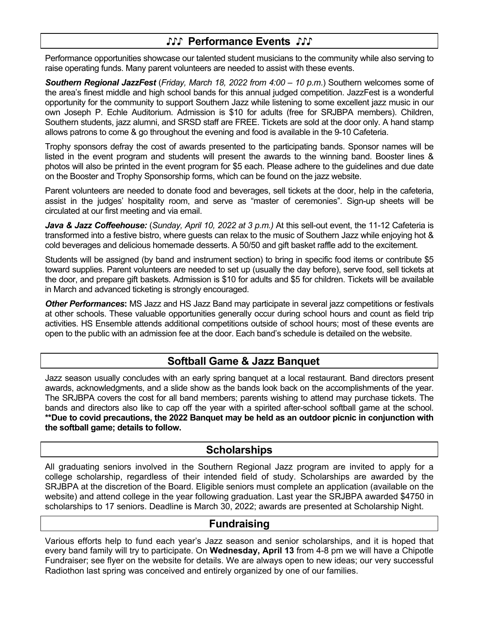# **♪♪♪ Performance Events ♪♪♪**

Performance opportunities showcase our talented student musicians to the community while also serving to raise operating funds. Many parent volunteers are needed to assist with these events.

*Southern Regional JazzFest* (*Friday, March 18, 2022 from 4:00 – 10 p.m*.) Southern welcomes some of the area's finest middle and high school bands for this annual judged competition. JazzFest is a wonderful opportunity for the community to support Southern Jazz while listening to some excellent jazz music in our own Joseph P. Echle Auditorium. Admission is \$10 for adults (free for SRJBPA members). Children, Southern students, jazz alumni, and SRSD staff are FREE. Tickets are sold at the door only. A hand stamp allows patrons to come & go throughout the evening and food is available in the 9-10 Cafeteria.

Trophy sponsors defray the cost of awards presented to the participating bands. Sponsor names will be listed in the event program and students will present the awards to the winning band. Booster lines & photos will also be printed in the event program for \$5 each. Please adhere to the guidelines and due date on the Booster and Trophy Sponsorship forms, which can be found on the jazz website.

Parent volunteers are needed to donate food and beverages, sell tickets at the door, help in the cafeteria, assist in the judges' hospitality room, and serve as "master of ceremonies". Sign-up sheets will be circulated at our first meeting and via email.

*Java & Jazz Coffeehouse:* (*Sunday, April 10, 2022 at 3 p.m.)* At this sell-out event, the 11-12 Cafeteria is transformed into a festive bistro, where guests can relax to the music of Southern Jazz while enjoying hot & cold beverages and delicious homemade desserts. A 50/50 and gift basket raffle add to the excitement.

Students will be assigned (by band and instrument section) to bring in specific food items or contribute \$5 toward supplies. Parent volunteers are needed to set up (usually the day before), serve food, sell tickets at the door, and prepare gift baskets. Admission is \$10 for adults and \$5 for children. Tickets will be available in March and advanced ticketing is strongly encouraged.

*Other Performances***:** MS Jazz and HS Jazz Band may participate in several jazz competitions or festivals at other schools. These valuable opportunities generally occur during school hours and count as field trip activities. HS Ensemble attends additional competitions outside of school hours; most of these events are open to the public with an admission fee at the door. Each band's schedule is detailed on the website.

# **Softball Game & Jazz Banquet**

Jazz season usually concludes with an early spring banquet at a local restaurant. Band directors present awards, acknowledgments, and a slide show as the bands look back on the accomplishments of the year. The SRJBPA covers the cost for all band members; parents wishing to attend may purchase tickets. The bands and directors also like to cap off the year with a spirited after-school softball game at the school. **\*\*Due to covid precautions, the 2022 Banquet may be held as an outdoor picnic in conjunction with the softball game; details to follow.**

# **Scholarships**

All graduating seniors involved in the Southern Regional Jazz program are invited to apply for a college scholarship, regardless of their intended field of study. Scholarships are awarded by the SRJBPA at the discretion of the Board. Eligible seniors must complete an application (available on the website) and attend college in the year following graduation. Last year the SRJBPA awarded \$4750 in scholarships to 17 seniors. Deadline is March 30, 2022; awards are presented at Scholarship Night.

# **Fundraising**

Various efforts help to fund each year's Jazz season and senior scholarships, and it is hoped that every band family will try to participate. On **Wednesday, April 13** from 4-8 pm we will have a Chipotle Fundraiser; see flyer on the website for details. We are always open to new ideas; our very successful Radiothon last spring was conceived and entirely organized by one of our families.